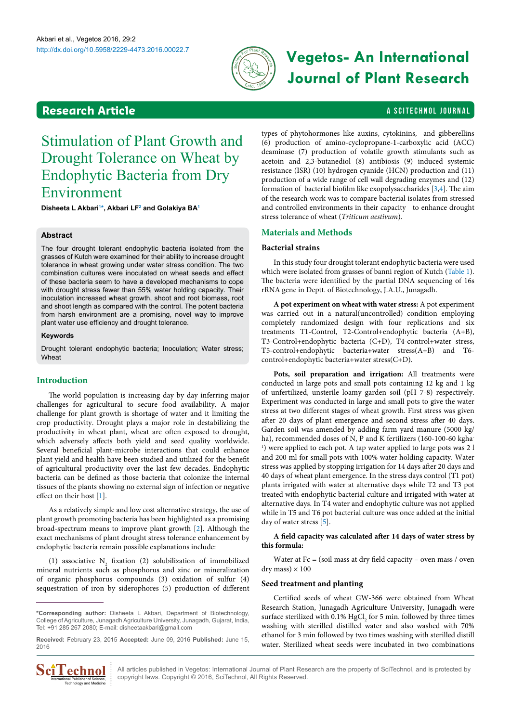

# http://dx.doi.org/10.5958/2229-4473.2016.00022.7 **Vegetos- An International Journal of Plant Research**

## <span id="page-0-1"></span>**Research Article a Scittering Control in the Scittering Control in the Scittering Article is a Scittering Library of Article is a Scittering Library of Article is a Scittering Control in the Scittering Control in the Sc**

## Stimulation of Plant Growth and Drought Tolerance on Wheat by Endophytic Bacteria from Dry Environment

**Disheeta L Akbar[i1](#page-4-0) [\\*,](#page-0-0) Akbari LF[2](#page-4-1) and Golakiya B[A1](#page-4-0)**

#### **Abstract**

The four drought tolerant endophytic bacteria isolated from the grasses of Kutch were examined for their ability to increase drought tolerance in wheat growing under water stress condition. The two combination cultures were inoculated on wheat seeds and effect of these bacteria seem to have a developed mechanisms to cope with drought stress fewer than 55% water holding capacity. Their inoculation increased wheat growth, shoot and root biomass, root and shoot length as compared with the control. The potent bacteria from harsh environment are a promising, novel way to improve plant water use efficiency and drought tolerance.

#### **Keywords**

Drought tolerant endophytic bacteria; Inoculation; Water stress; Wheat

#### **Introduction**

The world population is increasing day by day inferring major challenges for agricultural to secure food availability. A major challenge for plant growth is shortage of water and it limiting the crop productivity. Drought plays a major role in destabilizing the productivity in wheat plant, wheat are often exposed to drought, which adversely affects both yield and seed quality worldwide. Several beneficial plant-microbe interactions that could enhance plant yield and health have been studied and utilized for the benefit of agricultural productivity over the last few decades. Endophytic bacteria can be defined as those bacteria that colonize the internal tissues of the plants showing no external sign of infection or negative effect on their host [\[1](#page-4-2)].

As a relatively simple and low cost alternative strategy, the use of plant growth promoting bacteria has been highlighted as a promising broad-spectrum means to improve plant growth [[2](#page-4-3)]. Although the exact mechanisms of plant drought stress tolerance enhancement by endophytic bacteria remain possible explanations include:

(1) associative  $N_2$  fixation (2) solubilization of immobilized mineral nutrients such as phosphorus and zinc or mineralization of organic phosphorus compounds (3) oxidation of sulfur (4) sequestration of iron by siderophores (5) production of different

<span id="page-0-0"></span>**\*Corresponding author:** Disheeta L Akbari, Department of Biotechnology, College of Agriculture, Junagadh Agriculture University, Junagadh, Gujarat, India, Tel: +91 285 267 2080; E-mail: disheetaakbari@gmail.com

**Received:** February 23, 2015 **Accepted:** June 09, 2016 **Published:** June 15, 2016



types of phytohormones like auxins, cytokinins, and gibberellins (6) production of amino-cyclopropane-1-carboxylic acid (ACC) deaminase (7) production of volatile growth stimulants such as acetoin and 2,3-butanediol (8) antibiosis (9) induced systemic resistance (ISR) (10) hydrogen cyanide (HCN) production and (11) production of a wide range of cell wall degrading enzymes and (12) formation of bacterial biofilm like exopolysaccharides [[3,](#page-4-4)[4](#page-4-5)]. The aim of the research work was to compare bacterial isolates from stressed and controlled environments in their capacity to enhance drought stress tolerance of wheat (*Triticum aestivum*).

#### **Materials and Methods**

#### **Bacterial strains**

In this study four drought tolerant endophytic bacteria were used which were isolated from grasses of banni region of Kutch ([Table 1\)](#page-1-0). The bacteria were identified by the partial DNA sequencing of 16s rRNA gene in Deptt. of Biotechnology, J.A.U., Junagadh.

**A pot experiment on wheat with water stress:** A pot experiment was carried out in a natural(uncontrolled) condition employing completely randomized design with four replications and six treatments T1-Control, T2-Control+endophytic bacteria (A+B), T3-Control+endophytic bacteria (C+D), T4-control+water stress, T5-control+endophytic bacteria+water stress(A+B) and T6 control+endophytic bacteria+water stress(C+D).

**Pots, soil preparation and irrigation:** All treatments were conducted in large pots and small pots containing 12 kg and 1 kg of unfertilized, unsterile loamy garden soil (pH 7-8) respectively. Experiment was conducted in large and small pots to give the water stress at two different stages of wheat growth. First stress was given after 20 days of plant emergence and second stress after 40 days. Garden soil was amended by adding farm yard manure (5000 kg/ ha), recommended doses of N, P and K fertilizers (160-100-60 kgha-<sup>1</sup>) were applied to each pot. A tap water applied to large pots was 2 l and 200 ml for small pots with 100% water holding capacity. Water stress was applied by stopping irrigation for 14 days after 20 days and 40 days of wheat plant emergence. In the stress days control (T1 pot) plants irrigated with water at alternative days while T2 and T3 pot treated with endophytic bacterial culture and irrigated with water at alternative days. In T4 water and endophytic culture was not applied while in T5 and T6 pot bacterial culture was once added at the initial day of water stress [[5](#page-4-6)].

#### **A field capacity was calculated after 14 days of water stress by this formula:**

Water at  $Fc = (soil mass at dry field capacity - oven mass / oven$ dry mass)  $\times$  100

#### **Seed treatment and planting**

Certified seeds of wheat GW-366 were obtained from Wheat Research Station, Junagadh Agriculture University, Junagadh were surface sterilized with 0.1%  $HgCl<sub>2</sub>$  for 5 min. followed by three times washing with sterilled distilled water and also washed with 70% ethanol for 3 min followed by two times washing with sterilled distill water. Sterilized wheat seeds were incubated in two combinations

All articles published in Vegetos: International Journal of Plant Research are the property of SciTechnol, and is protected by copyright laws. Copyright © 2016, SciTechnol, All Rights Reserved.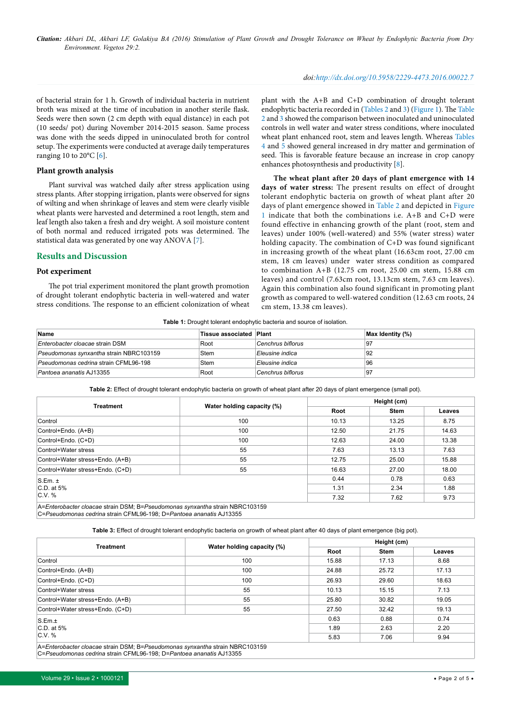#### *doi:http://dx.doi.org/10.5958/2229-4473.2016.00022.7*

of bacterial strain for 1 h. Growth of individual bacteria in nutrient broth was mixed at the time of incubation in another sterile flask. Seeds were then sown (2 cm depth with equal distance) in each pot (10 seeds/ pot) during November 2014-2015 season. Same process was done with the seeds dipped in uninoculated broth for control setup. The experiments were conducted at average daily temperatures ranging 10 to 20 $^{\circ}$ C [\[6\]](#page-4-7).

#### **Plant growth analysis**

Plant survival was watched daily after stress application using stress plants. After stopping irrigation, plants were observed for signs of wilting and when shrinkage of leaves and stem were clearly visible wheat plants were harvested and determined a root length, stem and leaf length also taken a fresh and dry weight. A soil moisture content of both normal and reduced irrigated pots was determined. The statistical data was generated by one way ANOVA [\[7\]](#page-4-8).

#### **Results and Discussion**

#### **Pot experiment**

The pot trial experiment monitored the plant growth promotion of drought tolerant endophytic bacteria in well-watered and water stress conditions. The response to an efficient colonization of wheat

plant with the A+B and C+D combination of drought tolerant endophytic bacteria recorded in ([Tables 2](#page-1-1) and [3](#page-1-2)) [\(Figure 1](#page-2-0)). The [Table](#page-1-1) [2](#page-1-1) and [3](#page-1-2) showed the comparison between inoculated and uninoculated controls in well water and water stress conditions, where inoculated wheat plant enhanced root, stem and leaves length. Whereas [Tables](#page-2-1)  [4](#page-2-1) and [5](#page-3-0) showed general increased in dry matter and germination of seed. This is favorable feature because an increase in crop canopy enhances photosynthesis and productivity [[8](#page-4-9)].

**The wheat plant after 20 days of plant emergence with 14 days of water stress:** The present results on effect of drought tolerant endophytic bacteria on growth of wheat plant after 20 days of plant emergence showed in [Table 2](#page-1-1) and depicted in [Figure](#page-2-0) [1](#page-2-0) indicate that both the combinations i.e. A+B and C+D were found effective in enhancing growth of the plant (root, stem and leaves) under 100% (well-watered) and 55% (water stress) water holding capacity. The combination of C+D was found significant in increasing growth of the wheat plant (16.63cm root, 27.00 cm stem, 18 cm leaves) under water stress condition as compared to combination  $A+B$  (12.75 cm root, 25.00 cm stem, 15.88 cm leaves) and control (7.63cm root, 13.13cm stem, 7.63 cm leaves). Again this combination also found significant in promoting plant growth as compared to well-watered condition (12.63 cm roots, 24 cm stem, 13.38 cm leaves).

<span id="page-1-0"></span>**Table 1:** Drought tolerant endophytic bacteria and source of isolation.

| Name                                    | Tissue associated Plant |                   | Max Identity (%) |
|-----------------------------------------|-------------------------|-------------------|------------------|
| Enterobacter cloacae strain DSM         | Root                    | Cenchrus biflorus | ⊺97              |
| Pseudomonas synxantha strain NBRC103159 | Stem                    | Eleusine indica   | 92               |
| Pseudomonas cedrina strain CFML96-198   | Stem                    | Eleusine indica   | 96               |
| Pantoea ananatis AJ13355                | Root                    | Cenchrus biflorus | 97               |

<span id="page-1-1"></span>**Table 2:** Effect of drought tolerant endophytic bacteria on growth of wheat plant after 20 days of plant emergence (small pot).

|                                                                              |      | Height (cm)                        |       |        |  |  |
|------------------------------------------------------------------------------|------|------------------------------------|-------|--------|--|--|
| <b>Treatment</b>                                                             |      | Water holding capacity (%)<br>Root |       | Leaves |  |  |
| Control                                                                      | 100  | 10.13                              | 13.25 | 8.75   |  |  |
| Control+Endo. (A+B)                                                          | 100  | 12.50                              | 21.75 | 14.63  |  |  |
| Control+Endo. (C+D)                                                          | 100  | 12.63                              | 24.00 | 13.38  |  |  |
| Control+Water stress                                                         | 55   | 7.63                               | 13.13 | 7.63   |  |  |
| Control+Water stress+Endo. (A+B)                                             | 55   | 12.75                              | 25.00 | 15.88  |  |  |
| Control+Water stress+Endo. (C+D)                                             | 55   | 16.63                              | 27.00 | 18.00  |  |  |
| $S.Em. \pm$                                                                  | 0.44 | 0.78                               | 0.63  |        |  |  |
| C.D. at 5%                                                                   | 1.31 | 2.34                               | 1.88  |        |  |  |
| $C.V.$ %                                                                     |      | 7.32                               | 7.62  | 9.73   |  |  |
| A=Enterobacter cloacae strain DSM; B=Pseudomonas synxantha strain NBRC103159 |      |                                    |       |        |  |  |

C=*Pseudomonas cedrina* strain CFML96-198; D=*Pantoea ananatis* AJ13355

<span id="page-1-2"></span>**Table 3:** Effect of drought tolerant endophytic bacteria on growth of wheat plant after 40 days of plant emergence (big pot).

|                                                                              |                            | Height (cm) |             |        |  |
|------------------------------------------------------------------------------|----------------------------|-------------|-------------|--------|--|
| <b>Treatment</b>                                                             | Water holding capacity (%) | Root        | <b>Stem</b> | Leaves |  |
| Control                                                                      | 100                        | 15.88       | 17.13       | 8.68   |  |
| Control+Endo. (A+B)                                                          | 100                        | 24.88       | 25.72       | 17.13  |  |
| Control+Endo. (C+D)                                                          | 100                        | 26.93       | 29.60       | 18.63  |  |
| Control+Water stress                                                         | 55                         | 10.13       | 15.15       | 7.13   |  |
| Control+Water stress+Endo. (A+B)                                             | 55                         | 25.80       | 30.82       | 19.05  |  |
| Control+Water stress+Endo. (C+D)                                             | 55                         | 27.50       | 32.42       | 19.13  |  |
| S.Em.t                                                                       | 0.63                       | 0.88        | 0.74        |        |  |
| $C.D.$ at 5%                                                                 | 1.89                       | 2.63        | 2.20        |        |  |
| $C.V.$ %                                                                     | 5.83                       | 7.06        | 9.94        |        |  |
| A=Enterobacter cloacae strain DSM; B=Pseudomonas synxantha strain NBRC103159 |                            |             |             |        |  |

C=*Pseudomonas cedrina* strain CFML96-198; D=*Pantoea ananatis* AJ13355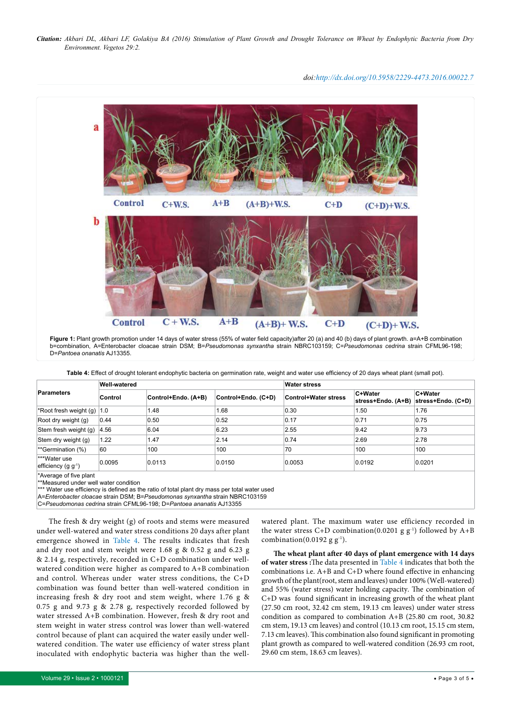*doi:http://dx.doi.org/10.5958/2229-4473.2016.00022.7*

<span id="page-2-0"></span>

<span id="page-2-1"></span>**Table 4:** Effect of drought tolerant endophytic bacteria on germination rate, weight and water use efficiency of 20 days wheat plant (small pot).

| <b>Parameters</b><br>*Root fresh weight (g) | <b>Well-watered</b> |                     |                     | <b>Water stress</b>         |                               |                               |  |
|---------------------------------------------|---------------------|---------------------|---------------------|-----------------------------|-------------------------------|-------------------------------|--|
|                                             | Control             | Control+Endo. (A+B) | Control+Endo. (C+D) | <b>Control+Water stress</b> | C+Water<br>stress+Endo. (A+B) | C+Water<br>stress+Endo. (C+D) |  |
|                                             | 1.0                 | 1.48                | 1.68                | 0.30                        | 1.50                          | 1.76                          |  |
| Root dry weight (g)                         | 0.44                | 0.50                | 0.52                | 0.17                        | 0.71                          | 0.75                          |  |
| Stem fresh weight (g)                       | 4.56                | 6.04                | 6.23                | 2.55                        | 9.42                          | 9.73                          |  |
| Stem dry weight (g)                         | 1.22                | 1.47                | 2.14                | 0.74                        | 2.69                          | 2.78                          |  |
| $*$ <sup>s</sup> Germination $(\%)$         | 60                  | 100                 | 100                 | 70                          | 100                           | 100                           |  |
| ***Water use<br>efficiency $(g g^{-1})$     | 0.0095              | 0.0113              | 0.0150              | 0.0053                      | 0.0192                        | 0.0201                        |  |
| *Average of five plant                      |                     |                     |                     |                             |                               |                               |  |

\*\*Measured under well water condition

\* Water use efficiency is defined as the ratio of total plant dry mass per total water used

A=*Enterobacter cloacae* strain DSM; B=*Pseudomonas synxantha* strain NBRC103159

C=*Pseudomonas cedrina* strain CFML96-198; D=*Pantoea ananatis* AJ13355

The fresh & dry weight (g) of roots and stems were measured under well-watered and water stress conditions 20 days after plant emergence showed in [Table 4.](#page-2-1) The results indicates that fresh and dry root and stem weight were 1.68 g & 0.52 g and 6.23 g & 2.14 g, respectively, recorded in C+D combination under wellwatered condition were higher as compared to A+B combination and control. Whereas under water stress conditions, the C+D combination was found better than well-watered condition in increasing fresh & dry root and stem weight, where 1.76 g & 0.75 g and 9.73 g & 2.78 g, respectively recorded followed by water stressed A+B combination. However, fresh & dry root and stem weight in water stress control was lower than well-watered control because of plant can acquired the water easily under wellwatered condition. The water use efficiency of water stress plant inoculated with endophytic bacteria was higher than the well-

watered plant. The maximum water use efficiency recorded in the water stress C+D combination(0.0201 g  $g^{-1}$ ) followed by A+B combination(0.0192 g  $g^{-1}$ ).

**The wheat plant after 40 days of plant emergence with 14 days of water stress :**The data presented in [Table 4](#page-2-1) indicates that both the combinations i.e. A+B and C+D where found effective in enhancing growth of the plant(root, stem and leaves) under 100% (Well-watered) and 55% (water stress) water holding capacity. The combination of C+D was found significant in increasing growth of the wheat plant (27.50 cm root, 32.42 cm stem, 19.13 cm leaves) under water stress condition as compared to combination A+B (25.80 cm root, 30.82 cm stem, 19.13 cm leaves) and control (10.13 cm root, 15.15 cm stem, 7.13 cm leaves). This combination also found significant in promoting plant growth as compared to well-watered condition (26.93 cm root, 29.60 cm stem, 18.63 cm leaves).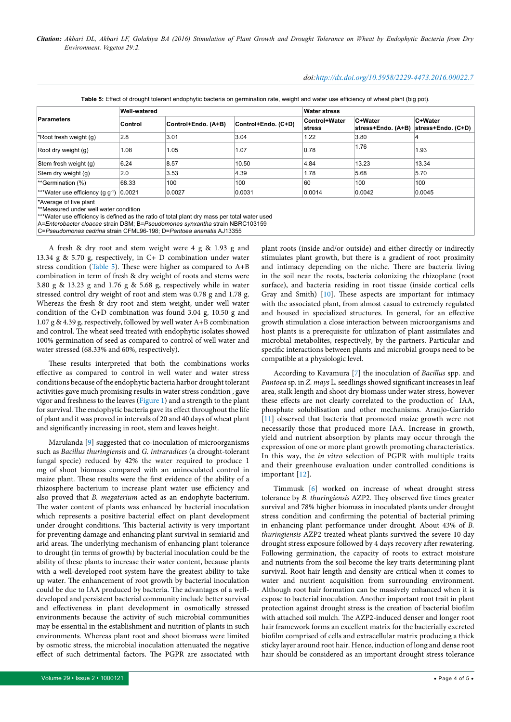#### *doi:http://dx.doi.org/10.5958/2229-4473.2016.00022.7*

<span id="page-3-0"></span>

|                                                                                                                                                                 | Well-watered |                     |                     | <b>Water stress</b>     |                               |                               |
|-----------------------------------------------------------------------------------------------------------------------------------------------------------------|--------------|---------------------|---------------------|-------------------------|-------------------------------|-------------------------------|
| <b>Parameters</b>                                                                                                                                               | Control      | Control+Endo. (A+B) | Control+Endo. (C+D) | Control+Water<br>stress | C+Water<br>stress+Endo. (A+B) | C+Water<br>stress+Endo. (C+D) |
| *Root fresh weight (g)                                                                                                                                          | 2.8          | 3.01                | 3.04                | 1.22                    | 3.80                          |                               |
| Root dry weight (g)                                                                                                                                             | 1.08         | 1.05                | 1.07                | 0.78                    | 1.76                          | 1.93                          |
| Stem fresh weight (g)                                                                                                                                           | 6.24         | 8.57                | 10.50               | 4.84                    | 13.23                         | 13.34                         |
| Stem dry weight (g)                                                                                                                                             | 2.0          | 3.53                | 4.39                | 1.78                    | 5.68                          | 5.70                          |
| **Germination (%)                                                                                                                                               | 68.33        | 100                 | 100                 | 60                      | 100                           | 100                           |
| ***Water use efficiency (g $g^{-1}$ ) 0.0021                                                                                                                    |              | 0.0027              | 0.0031              | 0.0014                  | 0.0042                        | 0.0045                        |
| *Average of five plant<br>**Measured under well water condition<br>***Water use efficiency is defined as the ratio of total plant dry mass per total water used |              |                     |                     |                         |                               |                               |

A=*Enterobacter cloacae* strain DSM; B=*Pseudomonas synxantha* strain NBRC103159

C=*Pseudomonas cedrina* strain CFML96-198; D=*Pantoea ananatis* AJ13355

A fresh & dry root and stem weight were 4 g & 1.93 g and 13.34 g & 5.70 g, respectively, in C+ D combination under water stress condition [\(Table 5\)](#page-3-0). These were higher as compared to A+B combination in term of fresh & dry weight of roots and stems were 3.80 g & 13.23 g and 1.76 g & 5.68 g, respectively while in water stressed control dry weight of root and stem was 0.78 g and 1.78 g. Whereas the fresh & dry root and stem weight, under well water condition of the C+D combination was found 3.04 g, 10.50 g and 1.07 g & 4.39 g, respectively, followed by well water A+B combination and control. The wheat seed treated with endophytic isolates showed 100% germination of seed as compared to control of well water and water stressed (68.33% and 60%, respectively).

These results interpreted that both the combinations works effective as compared to control in well water and water stress conditions because of the endophytic bacteria harbor drought tolerant activities gave much promising results in water stress condition , gave vigor and freshness to the leaves [\(Figure 1\)](#page-2-0) and a strength to the plant for survival. The endophytic bacteria gave its effect throughout the life of plant and it was proved in intervals of 20 and 40 days of wheat plant and significantly increasing in root, stem and leaves height.

Marulanda [\[9\]](#page-4-13) suggested that co-inoculation of microorganisms such as *Bacillus thuringiensis* and *G. intraradices* (a drought-tolerant fungal specie) reduced by 42% the water required to produce 1 mg of shoot biomass compared with an uninoculated control in maize plant. These results were the first evidence of the ability of a rhizosphere bacterium to increase plant water use efficiency and also proved that *B. megaterium* acted as an endophyte bacterium. The water content of plants was enhanced by bacterial inoculation which represents a positive bacterial effect on plant development under drought conditions. This bacterial activity is very important for preventing damage and enhancing plant survival in semiarid and arid areas. The underlying mechanism of enhancing plant tolerance to drought (in terms of growth) by bacterial inoculation could be the ability of these plants to increase their water content, because plants with a well-developed root system have the greatest ability to take up water. The enhancement of root growth by bacterial inoculation could be due to IAA produced by bacteria. The advantages of a welldeveloped and persistent bacterial community include better survival and effectiveness in plant development in osmotically stressed environments because the activity of such microbial communities may be essential in the establishment and nutrition of plants in such environments. Whereas plant root and shoot biomass were limited by osmotic stress, the microbial inoculation attenuated the negative effect of such detrimental factors. The PGPR are associated with

plant roots (inside and/or outside) and either directly or indirectly stimulates plant growth, but there is a gradient of root proximity and intimacy depending on the niche. There are bacteria living in the soil near the roots, bacteria colonizing the rhizoplane (root surface), and bacteria residing in root tissue (inside cortical cells Gray and Smith) [[10](#page-4-10)]. These aspects are important for intimacy with the associated plant, from almost casual to extremely regulated and housed in specialized structures. In general, for an effective growth stimulation a close interaction between microorganisms and host plants is a prerequisite for utilization of plant assimilates and microbial metabolites, respectively, by the partners. Particular and specific interactions between plants and microbial groups need to be compatible at a physiologic level.

According to Kavamura [[7](#page-4-8)] the inoculation of *Bacillus* spp. and *Pantoea* sp. in *Z. mays* L. seedlings showed significant increases in leaf area, stalk length and shoot dry biomass under water stress, however these effects are not clearly correlated to the production of IAA, phosphate solubilisation and other mechanisms. Araújo-Garrido [[11](#page-4-11)] observed that bacteria that promoted maize growth were not necessarily those that produced more IAA. Increase in growth, yield and nutrient absorption by plants may occur through the expression of one or more plant growth promoting characteristics. In this way, the *in vitro* selection of PGPR with multiple traits and their greenhouse evaluation under controlled conditions is important [[12\]](#page-4-12).

Timmusk [[6](#page-4-7)] worked on increase of wheat drought stress tolerance by *B. thuringiensis* AZP2. They observed five times greater survival and 78% higher biomass in inoculated plants under drought stress condition and confirming the potential of bacterial priming in enhancing plant performance under drought. About 43% of *B. thuringiensis* AZP2 treated wheat plants survived the severe 10 day drought stress exposure followed by 4 days recovery after rewatering. Following germination, the capacity of roots to extract moisture and nutrients from the soil become the key traits determining plant survival. Root hair length and density are critical when it comes to water and nutrient acquisition from surrounding environment. Although root hair formation can be massively enhanced when it is expose to bacterial inoculation. Another important root trait in plant protection against drought stress is the creation of bacterial biofilm with attached soil mulch. The AZP2-induced denser and longer root hair framework forms an excellent matrix for the bacterially excreted biofilm comprised of cells and extracellular matrix producing a thick sticky layer around root hair. Hence, induction of long and dense root hair should be considered as an important drought stress tolerance